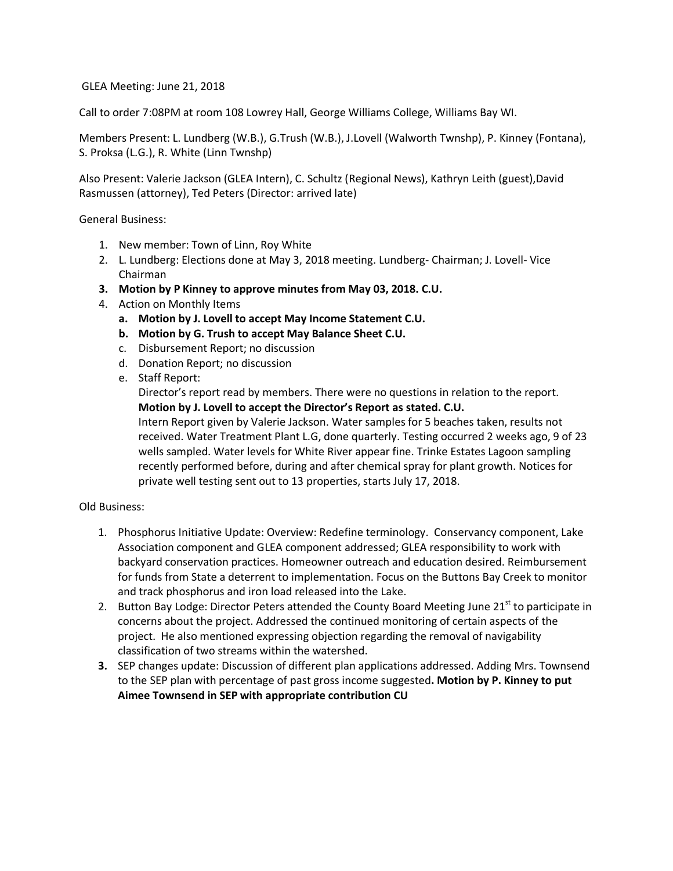GLEA Meeting: June 21, 2018

Call to order 7:08PM at room 108 Lowrey Hall, George Williams College, Williams Bay WI.

Members Present: L. Lundberg (W.B.), G.Trush (W.B.), J.Lovell (Walworth Twnshp), P. Kinney (Fontana), S. Proksa (L.G.), R. White (Linn Twnshp)

Also Present: Valerie Jackson (GLEA Intern), C. Schultz (Regional News), Kathryn Leith (guest),David Rasmussen (attorney), Ted Peters (Director: arrived late)

General Business:

- 1. New member: Town of Linn, Roy White
- 2. L. Lundberg: Elections done at May 3, 2018 meeting. Lundberg- Chairman; J. Lovell- Vice Chairman
- **3. Motion by P Kinney to approve minutes from May 03, 2018. C.U.**
- 4. Action on Monthly Items
	- **a. Motion by J. Lovell to accept May Income Statement C.U.**
	- **b. Motion by G. Trush to accept May Balance Sheet C.U.**
	- c. Disbursement Report; no discussion
	- d. Donation Report; no discussion
	- e. Staff Report:

Director's report read by members. There were no questions in relation to the report. **Motion by J. Lovell to accept the Director's Report as stated. C.U.**

Intern Report given by Valerie Jackson. Water samples for 5 beaches taken, results not received. Water Treatment Plant L.G, done quarterly. Testing occurred 2 weeks ago, 9 of 23 wells sampled. Water levels for White River appear fine. Trinke Estates Lagoon sampling recently performed before, during and after chemical spray for plant growth. Notices for private well testing sent out to 13 properties, starts July 17, 2018.

## Old Business:

- 1. Phosphorus Initiative Update: Overview: Redefine terminology. Conservancy component, Lake Association component and GLEA component addressed; GLEA responsibility to work with backyard conservation practices. Homeowner outreach and education desired. Reimbursement for funds from State a deterrent to implementation. Focus on the Buttons Bay Creek to monitor and track phosphorus and iron load released into the Lake.
- 2. Button Bay Lodge: Director Peters attended the County Board Meeting June 21<sup>st</sup> to participate in concerns about the project. Addressed the continued monitoring of certain aspects of the project. He also mentioned expressing objection regarding the removal of navigability classification of two streams within the watershed.
- **3.** SEP changes update: Discussion of different plan applications addressed. Adding Mrs. Townsend to the SEP plan with percentage of past gross income suggested**. Motion by P. Kinney to put Aimee Townsend in SEP with appropriate contribution CU**